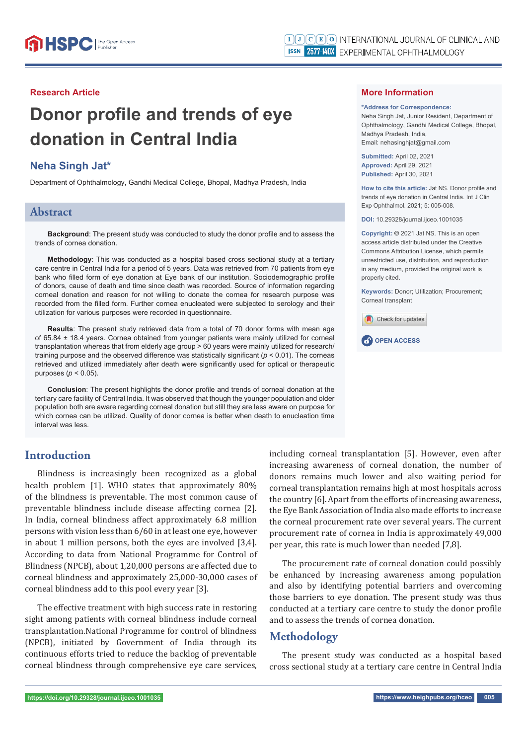#### **Research Article**

# **Donor profile and trends of eye donation in Central India**

## **Neha Singh Jat\***

Department of Ophthalmology, Gandhi Medical College, Bhopal, Madhya Pradesh, India

#### **Abstract**

**Background**: The present study was conducted to study the donor profile and to assess the trends of cornea donation.

**Methodology**: This was conducted as a hospital based cross sectional study at a tertiary care centre in Central India for a period of 5 years. Data was retrieved from 70 patients from eye bank who filled form of eye donation at Eye bank of our institution. Sociodemographic profile of donors, cause of death and time since death was recorded. Source of information regarding corneal donation and reason for not willing to donate the cornea for research purpose was recorded from the filled form. Further cornea enucleated were subjected to serology and their utilization for various purposes were recorded in questionnaire.

**Results**: The present study retrieved data from a total of 70 donor forms with mean age of 65.84 ± 18.4 years. Cornea obtained from younger patients were mainly utilized for corneal transplantation whereas that from elderly age group > 60 years were mainly utilized for research/ training purpose and the observed difference was statistically significant ( $p < 0.01$ ). The corneas retrieved and utilized immediately after death were significantly used for optical or therapeutic purposes (*p* < 0.05).

**Conclusion**: The present highlights the donor profile and trends of corneal donation at the tertiary care facility of Central India. It was observed that though the younger population and older population both are aware regarding corneal donation but still they are less aware on purpose for which cornea can be utilized. Quality of donor cornea is better when death to enucleation time interval was less.

#### **More Information**

#### **\*Address for Correspondence:**

Neha Singh Jat, Junior Resident, Department of Ophthalmology, Gandhi Medical College, Bhopal, Madhya Pradesh, India, Email: nehasinghiat@gmail.com

**Submitted:** April 02, 2021 **Approved:** April 29, 2021 **Published:** April 30, 2021

How to cite this article: Jat NS. Donor profile and trends of eye donation in Central India. Int J Clin Exp Ophthalmol. 2021; 5: 005-008.

**DOI:** 10.29328/journal.ijceo.1001035

**Copyright: ©** 2021 Jat NS. This is an open access article distributed under the Creative Commons Attribution License, which permits unrestricted use, distribution, and reproduction in any medium, provided the original work is properly cited.

**Keywords:** Donor; Utilization; Procurement; Corneal transplant





# **Introduction**

Blindness is increasingly been recognized as a global health problem [1]. WHO states that approximately 80% of the blindness is preventable. The most common cause of preventable blindness include disease affecting cornea [2]. In India, corneal blindness affect approximately 6.8 million persons with vision less than 6/60 in at least one eye, however in about 1 million persons, both the eyes are involved [3,4]. According to data from National Programme for Control of Blindness (NPCB), about 1,20,000 persons are affected due to corneal blindness and approximately 25,000-30,000 cases of corneal blindness add to this pool every year [3].

The effective treatment with high success rate in restoring sight among patients with corneal blindness include corneal transplantation.National Programme for control of blindness (NPCB), initiated by Government of India through its continuous efforts tried to reduce the backlog of preventable corneal blindness through comprehensive eye care services,

including corneal transplantation [5]. However, even after increasing awareness of corneal donation, the number of donors remains much lower and also waiting period for corneal transplantation remains high at most hospitals across the country [6]. Apart from the efforts of increasing awareness, the Eye Bank Association of India also made efforts to increase the corneal procurement rate over several years. The current procurement rate of cornea in India is approximately 49,000 per year, this rate is much lower than needed [7,8].

The procurement rate of corneal donation could possibly be enhanced by increasing awareness among population and also by identifying potential barriers and overcoming those barriers to eye donation. The present study was thus conducted at a tertiary care centre to study the donor profile and to assess the trends of cornea donation.

# **Methodology**

The present study was conducted as a hospital based cross sectional study at a tertiary care centre in Central India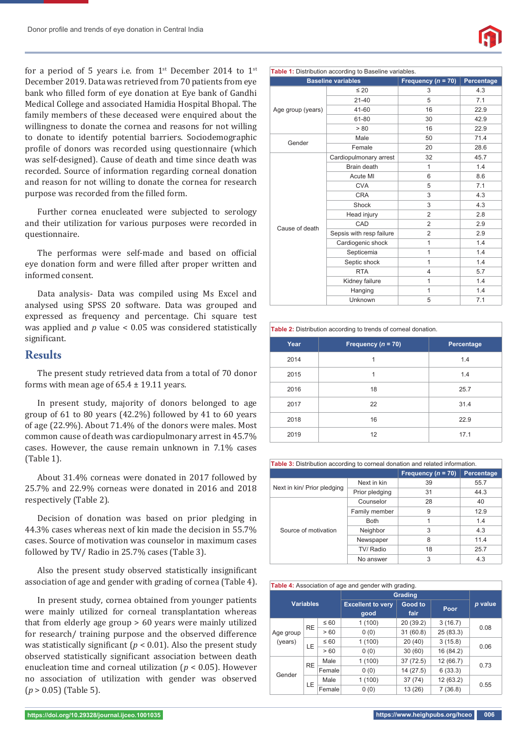for a period of 5 years i.e. from  $1^{st}$  December 2014 to  $1^{st}$ December 2019. Data was retrieved from 70 patients from eye bank who filled form of eye donation at Eye bank of Gandhi Medical College and associated Hamidia Hospital Bhopal. The family members of these deceased were enquired about the willingness to donate the cornea and reasons for not willing to donate to identify potential barriers. Sociodemographic profile of donors was recorded using questionnaire (which was self-designed). Cause of death and time since death was recorded. Source of information regarding corneal donation and reason for not willing to donate the cornea for research purpose was recorded from the filled form.

Further cornea enucleated were subjected to serology and their utilization for various purposes were recorded in questionnaire.

The performas were self-made and based on official eye donation form and were filled after proper written and informed consent.

Data analysis- Data was compiled using Ms Excel and analysed using SPSS 20 software. Data was grouped and expressed as frequency and percentage. Chi square test was applied and *p* value < 0.05 was considered statistically significant.

#### **Results**

The present study retrieved data from a total of 70 donor forms with mean age of  $65.4 \pm 19.11$  years.

In present study, majority of donors belonged to age group of 61 to 80 years (42.2%) followed by 41 to 60 years of age (22.9%). About 71.4% of the donors were males. Most common cause of death was cardiopulmonary arrest in 45.7% cases. However, the cause remain unknown in 7.1% cases (Table 1).

About 31.4% corneas were donated in 2017 followed by 25.7% and 22.9% corneas were donated in 2016 and 2018 respectively (Table 2).

Decision of donation was based on prior pledging in 44.3% cases whereas next of kin made the decision in 55.7% cases. Source of motivation was counselor in maximum cases followed by TV/ Radio in 25.7% cases (Table 3).

Also the present study observed statistically insignificant association of age and gender with grading of cornea (Table 4).

In present study, cornea obtained from younger patients were mainly utilized for corneal transplantation whereas that from elderly age group > 60 years were mainly utilized for research/ training purpose and the observed difference was statistically significant ( $p < 0.01$ ). Also the present study observed statistically significant association between death enucleation time and corneal utilization (*p* < 0.05). However no association of utilization with gender was observed (*p* > 0.05) (Table 5).



| Table 1: Distribution according to Baseline variables. |                           |                      |            |  |  |  |
|--------------------------------------------------------|---------------------------|----------------------|------------|--|--|--|
|                                                        | <b>Baseline variables</b> | Frequency $(n = 70)$ | Percentage |  |  |  |
|                                                        | $\leq 20$                 | 3                    | 4.3        |  |  |  |
| Age group (years)                                      | $21 - 40$                 | 5                    | 7.1        |  |  |  |
|                                                        | 41-60                     | 16                   | 22.9       |  |  |  |
|                                                        | 61-80                     | 30                   | 42.9       |  |  |  |
|                                                        | > 80                      | 16                   | 22.9       |  |  |  |
| Gender                                                 | Male                      | 50                   | 71.4       |  |  |  |
|                                                        | Female                    | 20                   | 28.6       |  |  |  |
|                                                        | Cardiopulmonary arrest    | 32                   | 45.7       |  |  |  |
|                                                        | Brain death               | $\mathbf{1}$         | 1.4        |  |  |  |
|                                                        | Acute MI                  | 6                    | 8.6        |  |  |  |
|                                                        | <b>CVA</b>                | 5                    | 7.1        |  |  |  |
|                                                        | <b>CRA</b>                | 3                    | 4.3        |  |  |  |
|                                                        | Shock                     | 3                    | 4.3        |  |  |  |
|                                                        | Head injury               | 2                    | 2.8        |  |  |  |
|                                                        | CAD                       | $\overline{2}$       | 2.9        |  |  |  |
| Cause of death                                         | Sepsis with resp failure  | $\overline{2}$       | 2.9        |  |  |  |
|                                                        | Cardiogenic shock         | 1                    | 1.4        |  |  |  |
|                                                        | Septicemia                | 1                    | 1.4        |  |  |  |
|                                                        | Septic shock              | 1                    | 1.4        |  |  |  |
|                                                        | <b>RTA</b>                | 4                    | 5.7        |  |  |  |
|                                                        | Kidney failure            | 1                    | 1.4        |  |  |  |
|                                                        | Hanging                   | 1                    | 1.4        |  |  |  |
|                                                        | Unknown                   | 5                    | 7.1        |  |  |  |

**Table 2:** Distribution according to trends of corneal donation.

| Year | Frequency ( $n = 70$ ) | Percentage |
|------|------------------------|------------|
| 2014 | 1                      | 1.4        |
| 2015 | 1                      | 1.4        |
| 2016 | 18                     | 25.7       |
| 2017 | 22                     | 31.4       |
| 2018 | 16                     | 22.9       |
| 2019 | 12                     | 17.1       |

**Table 3:** Distribution according to corneal donation and related information.

|                             |                | Frequency $(n = 70)$ | Percentage |
|-----------------------------|----------------|----------------------|------------|
|                             | Next in kin    | 39                   | 55.7       |
| Next in kin/ Prior pledging | Prior pledging | 31                   | 44.3       |
|                             | Counselor      | 28                   | 40         |
|                             | Family member  | 9                    | 12.9       |
|                             | <b>Both</b>    |                      | 1.4        |
| Source of motivation        | Neighbor       | 3                    | 4.3        |
|                             | Newspaper      | 8                    | 11.4       |
|                             | TV/ Radio      | 18                   | 25.7       |
|                             | No answer      | 3                    | 4.3        |

**Table 4:** Association of age and gender with grading

|                                         |           |                                  | ັ<br>ັ          | $\cdot$<br>ັ |           |      |  |
|-----------------------------------------|-----------|----------------------------------|-----------------|--------------|-----------|------|--|
|                                         |           |                                  | Grading         |              |           |      |  |
| <b>Variables</b>                        |           | <b>Excellent to very</b><br>good | Good to<br>fair | Poor         | p value   |      |  |
| <b>RE</b><br>Age group<br>(years)<br>LE |           | $\leq 60$                        | 1(100)          | 20(39.2)     | 3(16.7)   |      |  |
|                                         |           | >60                              | 0(0)            | 31(60.8)     | 25 (83.3) | 0.08 |  |
|                                         |           | $\leq 60$                        | 1(100)          | 20(40)       | 3(15.8)   | 0.06 |  |
|                                         |           | > 60                             | 0(0)            | 30(60)       | 16 (84.2) |      |  |
| Gender                                  | <b>RE</b> | Male                             | 1(100)          | 37 (72.5)    | 12 (66.7) | 0.73 |  |
|                                         |           | Female                           | 0(0)            | 14 (27.5)    | 6(33.3)   |      |  |
|                                         | LE        | Male                             | 1(100)          | 37(74)       | 12(63.2)  | 0.55 |  |
|                                         |           | Female                           | 0(0)            | 13 (26)      | 7(36.8)   |      |  |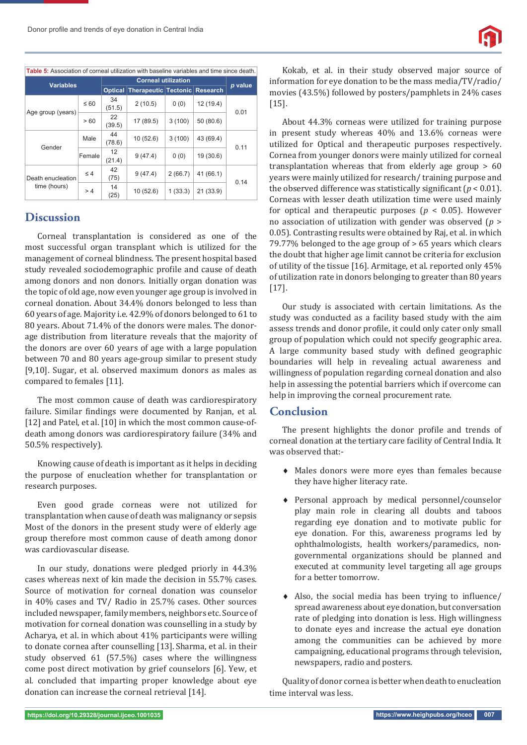

| <b>Table 5:</b> Association of corneal utilization with baseline variables and time since death. |           |                            |                                      |         |           |         |
|--------------------------------------------------------------------------------------------------|-----------|----------------------------|--------------------------------------|---------|-----------|---------|
| <b>Variables</b>                                                                                 |           | <b>Corneal utilization</b> |                                      |         |           | p value |
|                                                                                                  |           | <b>Optical</b>             | <b>Therapeutic Tectonic Research</b> |         |           |         |
| Age group (years)                                                                                | $\leq 60$ | 34<br>(51.5)               | 2(10.5)                              | 0(0)    | 12(19.4)  | 0.01    |
|                                                                                                  | >60       | 22<br>(39.5)               | 17 (89.5)                            | 3(100)  | 50(80.6)  |         |
| Gender                                                                                           | Male      | 44<br>(78.6)               | 10(52.6)                             | 3(100)  | 43 (69.4) | 0.11    |
|                                                                                                  | Female    | 12<br>(21.4)               | 9(47.4)                              | 0(0)    | 19 (30.6) |         |
| Death enucleation<br>time (hours)                                                                | $\leq 4$  | 42<br>(75)                 | 9(47.4)                              | 2(66.7) | 41 (66.1) | 0.14    |
|                                                                                                  | >4        | 14<br>(25)                 | 10(52.6)                             | 1(33.3) | 21(33.9)  |         |

#### **Discussion**

Corneal transplantation is considered as one of the most successful organ transplant which is utilized for the management of corneal blindness. The present hospital based study revealed sociodemographic profile and cause of death among donors and non donors. Initially organ donation was the topic of old age, now even younger age group is involved in corneal donation. About 34.4% donors belonged to less than 60 years of age. Majority i.e. 42.9% of donors belonged to 61 to 80 years. About 71.4% of the donors were males. The donorage distribution from literature reveals that the majority of the donors are over 60 years of age with a large population between 70 and 80 years age-group similar to present study [9,10]. Sugar, et al. observed maximum donors as males as compared to females [11].

The most common cause of death was cardiorespiratory failure. Similar findings were documented by Ranjan, et al. [12] and Patel, et al. [10] in which the most common cause-ofdeath among donors was cardiorespiratory failure (34% and 50.5% respectively).

Knowing cause of death is important as it helps in deciding the purpose of enucleation whether for transplantation or research purposes.

Even good grade corneas were not utilized for transplantation when cause of death was malignancy or sepsis Most of the donors in the present study were of elderly age group therefore most common cause of death among donor was cardiovascular disease.

In our study, donations were pledged priorly in 44.3% cases whereas next of kin made the decision in 55.7% cases. Source of motivation for corneal donation was counselor in 40% cases and TV/ Radio in 25.7% cases. Other sources included newspaper, family members, neighbors etc. Source of motivation for corneal donation was counselling in a study by Acharya, et al. in which about 41% participants were willing to donate cornea after counselling [13]. Sharma, et al. in their study observed 61 (57.5%) cases where the willingness come post direct motivation by grief counselors [6]. Yew, et al. concluded that imparting proper knowledge about eye donation can increase the corneal retrieval [14].

Kokab, et al. in their study observed major source of information for eye donation to be the mass media/TV/radio/ movies (43.5%) followed by posters/pamphlets in 24% cases [15].

About 44.3% corneas were utilized for training purpose in present study whereas 40% and 13.6% corneas were utilized for Optical and therapeutic purposes respectively. Cornea from younger donors were mainly utilized for corneal transplantation whereas that from elderly age group > 60 years were mainly utilized for research/ training purpose and the observed difference was statistically significant  $(p < 0.01)$ . Corneas with lesser death utilization time were used mainly for optical and therapeutic purposes (*p* < 0.05). However no association of utilization with gender was observed (*p* > 0.05). Contrasting results were obtained by Raj, et al. in which 79.77% belonged to the age group of > 65 years which clears the doubt that higher age limit cannot be criteria for exclusion of utility of the tissue [16]. Armitage, et al. reported only 45% of utilization rate in donors belonging to greater than 80 years [17].

Our study is associated with certain limitations. As the study was conducted as a facility based study with the aim assess trends and donor profile, it could only cater only small group of population which could not specify geographic area. A large community based study with defined geographic boundaries will help in revealing actual awareness and willingness of population regarding corneal donation and also help in assessing the potential barriers which if overcome can help in improving the corneal procurement rate.

#### **Conclusion**

The present highlights the donor profile and trends of corneal donation at the tertiary care facility of Central India. It was observed that:-

- Males donors were more eyes than females because they have higher literacy rate.
- Personal approach by medical personnel/counselor play main role in clearing all doubts and taboos regarding eye donation and to motivate public for eye donation. For this, awareness programs led by ophthalmologists, health workers/paramedics, nongovernmental organizations should be planned and executed at community level targeting all age groups for a better tomorrow.
- $\triangle$  Also, the social media has been trying to influence/ spread awareness about eye donation, but conversation rate of pledging into donation is less. High willingness to donate eyes and increase the actual eye donation among the communities can be achieved by more campaigning, educational programs through television, newspapers, radio and posters.

Quality of donor cornea is better when death to enucleation time interval was less.